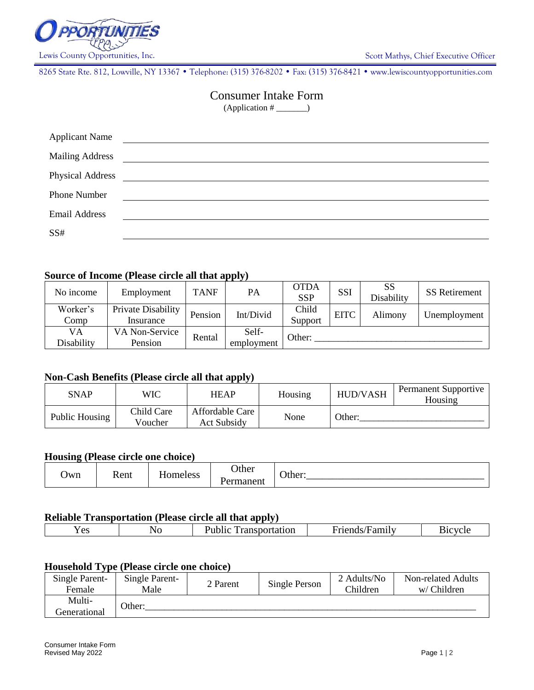

8265 State Rte. 812, Lowville, NY 13367 • Telephone: (315) 376-8202 • Fax: (315) 376-8421 • www.lewiscountyopportunities.com

# Consumer Intake Form

 $(Application \#$ <sub>\_\_\_\_\_\_</sub>)

| <b>Applicant Name</b>   |  |
|-------------------------|--|
| <b>Mailing Address</b>  |  |
| <b>Physical Address</b> |  |
| <b>Phone Number</b>     |  |
| <b>Email Address</b>    |  |
| SS#                     |  |

# **Source of Income (Please circle all that apply)**

| No income        | Employment                      | <b>TANF</b> | PA                  | <b>OTDA</b><br><b>SSP</b> | SSI         | SS<br>Disability | <b>SS</b> Retirement |
|------------------|---------------------------------|-------------|---------------------|---------------------------|-------------|------------------|----------------------|
| Worker's<br>Comp | Private Disability<br>Insurance | Pension     | Int/Divid           | Child<br>Support          | <b>EITC</b> | Alimony          | Unemployment         |
| VA<br>Disability | VA Non-Service<br>Pension       | Rental      | Self-<br>employment | Other:                    |             |                  |                      |

# **Non-Cash Benefits (Please circle all that apply)**

| SNAP           | WIC                   | HEAP                           | Housing | <b>HUD/VASH</b> | Permanent Supportive<br>Housing |
|----------------|-----------------------|--------------------------------|---------|-----------------|---------------------------------|
| Public Housing | Child Care<br>Voucher | Affordable Care<br>Act Subsidy | None    | Other:          |                                 |

### **Housing (Please circle one choice)**

| Jwn | –<br>Rent | omeless | )ther<br>$\sim$ $\sim$<br>rmanent | ∽<br>ther: |
|-----|-----------|---------|-----------------------------------|------------|
|-----|-----------|---------|-----------------------------------|------------|

## **Reliable Transportation (Please circle all that apply)**

| --<br>$\alpha$<br>1 C.S. | N.<br>TV. | $\sim$<br>.<br>--- | ±amılv<br>. | $-222$ |
|--------------------------|-----------|--------------------|-------------|--------|
|                          |           |                    |             |        |

#### **Household Type (Please circle one choice)**

| Single Parent-<br>Female | Single Parent-<br>Male | 2 Parent | Single Person | 2 Adults/No<br>Children | Non-related Adults<br>w/ Children |  |
|--------------------------|------------------------|----------|---------------|-------------------------|-----------------------------------|--|
| Multi-<br>Generational   | Other:                 |          |               |                         |                                   |  |